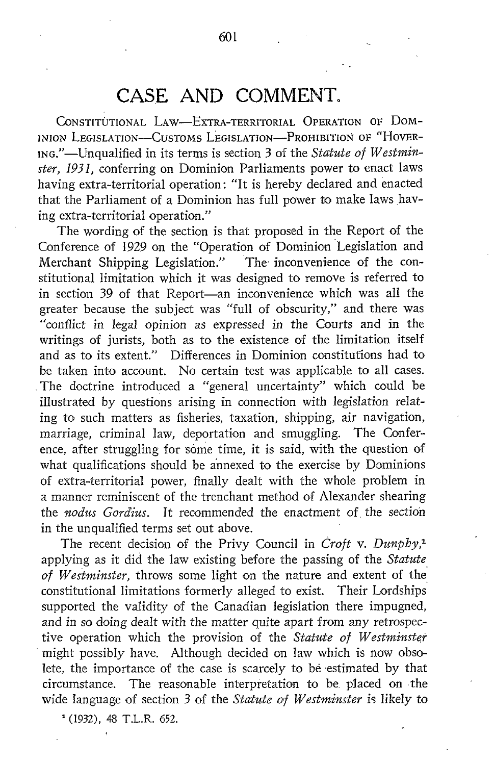## CASE AND COMMENT.

CONSTITUTIONAL LAW-EXTRA-TERRITORIAL OPERATION OF DOM-INION LEGISLATION-CUSTOMS LEGISLATION-PROHIBITION OF "HOVER-ING."-Unqualified in its terms is section 3 of the Statute of Westminster, 1931, conferring on Dominion Parliaments power to enact laws having extra-territorial operation : "It is hereby declared and enacted that the Parliament of a Dominion has full power to make laws having extra-territorial operation."

The wording of the section is that proposed in the Report of the Conference of 1929 on the "Operation of Dominion Legislation and Merchant Shipping Legislation." The inconvenience of the constitutional limitation which it was designed to remove is referred to in section 39 of that Report—an inconvenience which was all the greater because the subject was "full of obscurity," and there was "conflict in legal opinion as expressed in the Courts and in the writings of jurists, both as to the existence of the limitation itself and as to its extent." Differences in Dominion constitutions had to be taken into account. No certain test was applicable to all cases. . The doctrine introduced a "general uncertainty" which could be illustrated by questions arising in connection with legislation relating to such matters as fisheries, taxation, shipping, air navigation, marriage, criminal law, deportation and smuggling. The Conference, after struggling for some time, it is said, with the question of what qualifications should be annexed to the exercise by Dominions of extra-territorial power, finally dealt with the whole problem in a manner reminiscent of the trenchant method of Alexander shearing the nodus Gordius. It recommended the enactment of the section in the unqualified terms set out above.

The recent decision of the Privy Council in Croft v. Dunphy,<sup>1</sup> applying as it did the law existing before the passing of the Statute of Westminster, throws some light on the nature and extent of the constitutional limitations formerly alleged to exist. Their Lordships supported the validity of the Canadian legislation there impugned, and in so doing dealt with the matter quite apart from any retrospective operation which the provision of the Statute of Westminster might possibly have. Although decided on law which is now obsolete, the importance of the case is scarcely to be estimated by that circumstance. The reasonable interpretation to be placed on the wide language of section 3 of the Statute of Westminster is likely to

 $(1932)$ , 48 T.L.R. 652.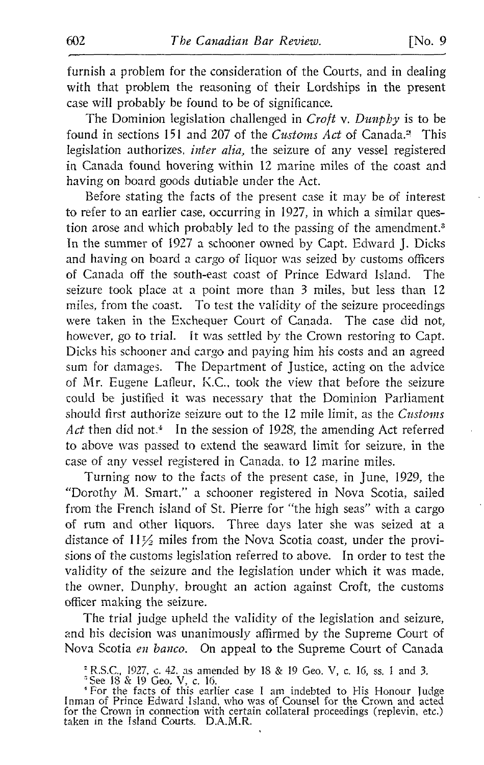furnish a problem for the consideration of the Courts, and in dealing with that problem the reasoning of their Lordships in the present case will probably be found to be of significance.

The Dominion legislation challenged in  $Croft$  v. Dunphy is to be found in sections 151 and 207 of the Customs Act of Canada." This legislation authorizes, *inter alia*, the seizure of any vessel registered in Canada found hovering within 12 marine miles of the coast and having on board goods dutiable under the Act.

Before stating the facts of the present case it may be of interest to refer to an earlier case, occurring in 1927, in which a similar question arose and which probably led to the passing of the amendment.<sup>3</sup> In the summer of 1927 a schooner owned by Capt. Edward J. Dicks and having on board a cargo of liquor was seized by customs officers of Canada off the south-east coast of Prince Edward Island. The seizure took place at a point more than 3 miles, but less than 12 miles, from the coast. To test the validity of the seizure proceedings were taken in the Exchequer Court of Canada. The case did not, however, go to trial. It was settled by the Crown restoring to Capt. Dicks his schooner and cargo and paying him his costs and an agreed sum for damages. The Department of Justice, acting on the advice of Mr. Eugene Lafleur, K.C., took the view that before the seizure could be justified it was necessary that the Dominion Parliament should first authorize seizure out to the 12 mile limit, as the *Customs* Act then did not.<sup> $4$ </sup> In the session of 1928, the amending Act referred to above was passed to extend the seaward limit for seizure, in the case of any vessel registered in Canada, to 12 marine miles.

Turning now to the facts of the present case, in June, 1929, the "Dorothy M. Smart," <sup>a</sup> schooner registered in Nova Scotia, sailed from the French island of St. Pierre for "the high seas" with a cargo of rum and other liquors. Three days later she was seized at a distance of  $11\frac{1}{2}$  miles from the Nova Scotia coast, under the provisions of the customs legislation referred to above. In order to test the validity of the seizure and the legislation under which it was made, the owner, Dunphy, brought an action against Croft, the customs officer making the seizure.

The trial judge upheld the validity of the legislation and seizure, and his decision was unanimously affirmed by the Supreme Court of Nova Scotia en banco. On appeal to the Supreme Court of Canada

R.S.C., 1927, <sup>c</sup> . 42. as amended by <sup>18</sup> & <sup>19</sup> Geo. V, <sup>c</sup> . 16, ss. <sup>1</sup> and 3. 'See <sup>18</sup> & <sup>19</sup> Geo. V, <sup>c</sup> . <sup>16</sup> . 'For the facts of this earlier case <sup>I</sup> am indebted to His Honour judge Inman of Prince Edward Island, who was of Counsel for the Crown and acted for the Crown in connection with certain collateral proceedings (replevin, etc.) taken in the Island Courts. D.A.M.R.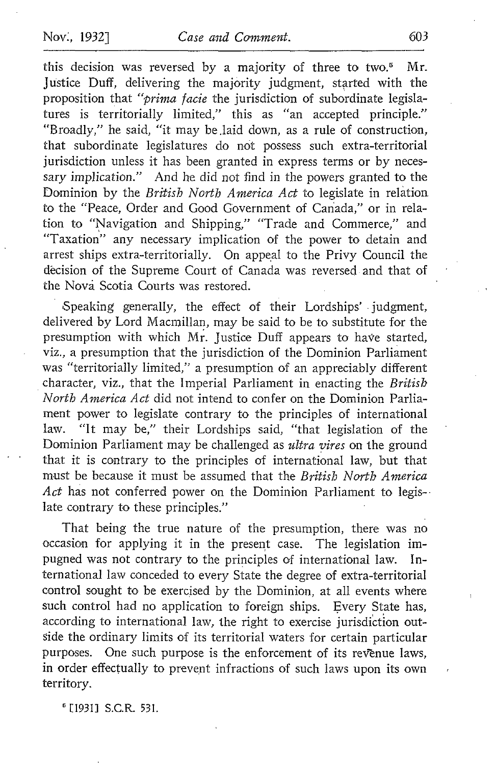this decision was reversed by a majority of three to two.<sup>5</sup> Mr. justice Duff, delivering the majority judgment, started with the proposition that "prima facie the jurisdiction of subordinate legislatures is territorially limited," this as "an accepted principle." "Broadly," he said, "it may be .laid down, as a rule of construction, that subordinate legislatures do not possess such extra-territorial jurisdiction unless it has been granted in express terms or by necessary implication." And he did not find in the powers granted to the Dominion by the British North America Act to legislate in relation. to the "Peace, Order and Good Government of Canada," or in relation to "Navigation and Shipping," "Trade and Commerce," and "Taxation" any necessary implication of the power to detain and arrest ships extra-territorially. On appeal to the Privy Council the decision of the Supreme Court of Canada was reversed and that of the Nova Scotia Courts was restored.

Speaking generally, the effect of their Lordships' judgment, delivered by Lord Macmillan, may be said to be to substitute for the presumption with which Mr. justice Duff appears to have started, viz., a presumption that the jurisdiction of the Dominion Parliament was "territorially limited," a presumption of an appreciably different character, viz., that the Imperial Parliament in enacting the British North America Act did not intend to confer on the Dominion Parliament power to legislate contrary to the principles of international<br>law. "It may be," their Lordships said, "that legislation of the "It may be," their Lordships said, "that legislation of the Dominion Parliament may be challenged as ultra vires on the ground that it is contrary to the principles of international law, but that must be because it must be assumed that the British North America Act has not conferred power on the Dominion Parliament to legislate contrary to these principles."

That being the true nature of the presumption, there was no occasion for applying it in the present case. The legislation impugned was not contrary to the principles of international law. In ternational law conceded to every State the degree of extra-territorial control sought to be exercised by the Dominion, at all events where such control had no application to foreign ships. Every State has, according to international law, the right to exercise jurisdiction outside the ordinary limits of its territorial waters for certain particular purposes. One such purpose is the enforcement of its revenue laws, in order effectually to prevent infractions of such laws upon its own territory.

<sup>6</sup> [1931] S.C.R. 531.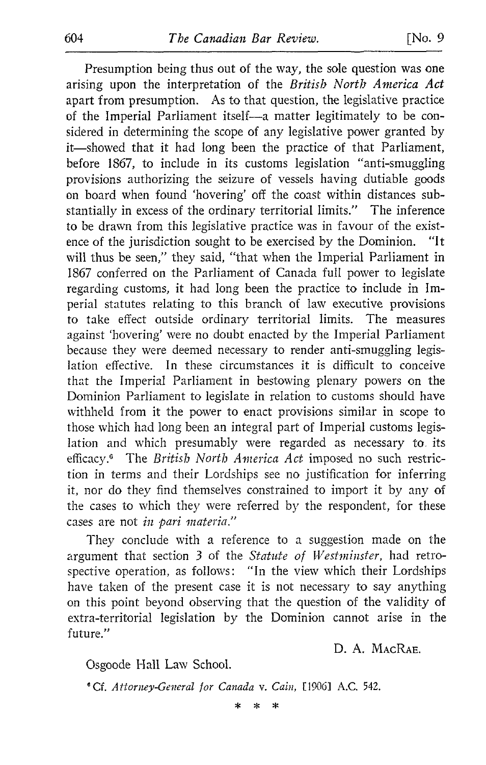Presumption being thus out of the way, the sole question was one arising upon the interpretation of the British North America Act apart from presumption. As to that question, the legislative practice of the Imperial Parliament itself-a matter legitimately to be considered in determining the scope of any legislative power granted by it-showed that it had long been the practice of that Parliament, before 1867, to include in its customs legislation "anti-smuggling provisions authorizing the seizure of vessels having dutiable goods on board when found `hovering' off the coast within distances sub stantially in excess of the ordinary territorial limits." The inference to be drawn from this legislative practice was in favour of the exist-<br>ence of the iurisdiction sought to be exercised by the Dominion. "It ence of the jurisdiction sought to be exercised by the Dominion. will thus be seen," they said, "that when the Imperial Parliament in 1867 conferred on the Parliament of Canada full power to legislate regarding customs, it had long been the practice to include in Imperial statutes relating to this branch of law executive provisions to take effect outside ordinary territorial limits. The measures against `hovering' were no doubt enacted by the Imperial Parliament because they were deemed necessary to render anti-smuggling legislation effective. In these circumstances it is difficult to conceive that the Imperial Parliament in bestowing plenary powers on the Dominion Parliament to legislate in relation to customs should have withheld from it the power to enact provisions similar in scope to those which had long been an integral part of Imperial customs legislation and which presumably were regarded as necessary to, its efficacy.<sup>6</sup> The British North America Act imposed no such restriction in terms and their Lordships see no justification for inferring it, nor do they find themselves constrained to import it by any of the cases to which they were referred by the respondent, for these cases are not in pari materia."

They conclude with <sup>a</sup> reference to <sup>a</sup> suggestion made on the argument that section 3 of the Statute of Westminster, had retrospective operation, as follows: "In the view which their Lordships have taken of the present case it is not necessary to say anything on this point beyond observing that the question of the validity of extra-territorial legislation by the Dominion cannot arise in the future."

D. A. MAcRAE.

Osgoode Hall Law School.

<sup>6</sup> Cf. Attorney-General for Canada v. Cain, [1906] A.C. 542.

 $\star$  $\star$  $\ast$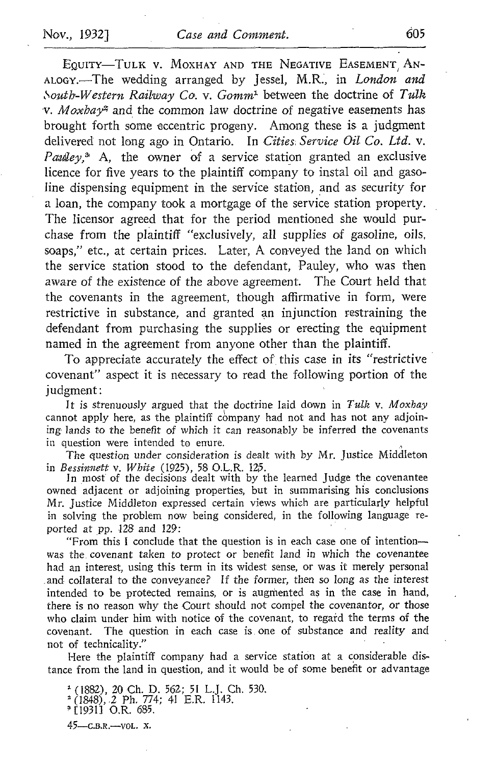EQUITY-TULK V. MOXHAY AND THE NEGATIVE EASEMENT AN-ALOGY.--The wedding arranged by Jessel, M.R., in London and South-Western Railway Co. v. Gomm<sup>1</sup> between the doctrine of Tulk  $v$ . Moxbay<sup>2</sup> and the common law doctrine of negative easements has brought forth some eccentric progeny. Among these is a judgment delivered not long ago in Ontario. In Cities Service Oil Co. Ltd. v. Pauley,<sup>3</sup> A, the owner of a service station granted an exclusive licence for five years to the plaintiff company to instal oil and gasoline dispensing equipment in the service station, and as security for a loan, the company took a mortgage of the service station property. The licensor agreed that for the period mentioned she would purchase from the plaintiff "exclusively, all supplies of gasoline, oils, soaps," etc., at certain prices. Later, A conveyed the land on which the service station stood to the defendant, Pauley, who was then aware of the existence of the above agreement. The Court held that the covenants in the agreement, though affirmative in form, were restrictive in substance, and granted an injunction restraining the defendant from purchasing the supplies or erecting the equipment named in the agreement from anyone other than the plaintiff.

To appreciate accurately the effect of this case in its "restrictive covenant" aspect it is necessary to read the following portion of the judgment:

It is strenuously argued that the doctrine laid down in Tulk v. Moxbay cannot apply here, as the plaintiff company had not and has not any adjoining lands to the benefit of which it can reasonably be inferred the covenants in question were intended to enure.

The question under consideration is dealt with by Mr. Justice Middleton in Bessinnett v. White (1925), <sup>58</sup> O.L.R. 125.

In most of the decisions dealt with by the learned judge the covenantee owned adjacent or adjoining properties, but in summarising his conclusions Mr. Justice Middleton expressed certain views which are particularly helpful in solving the problem now being considered, in the following language reported at pp. 128 and 129:

"From this <sup>I</sup> conclude that the question is in each case one of intentionwas the, covenant taken to protect or benefit land in which the covenantee had an interest, using this term in its widest sense, or was it merely personal and collateral to the conveyance? If the former, then so long as the interest intended to be protected remains, or is augmented as in the case in hand, there is no reason why the Court should not compel the covenantor, or those who claim under him with notice of the covenant, to regard the terms of the covenant. The question in each case is . one of substance and reality and not of technicality."

Here the plaintiff company had a service station at a considerable distance from the land in question, and it would be of some benefit or advantage

 $^{1}$  (1882), 20 Ch. D. 562; 51 L.J. Ch. 530.  $^{2}$  (1848), 2 Ph, 774; 41 E.R. 1143. C19311 O.R. 685.

 $45$ —C.B.R.—VOL. X.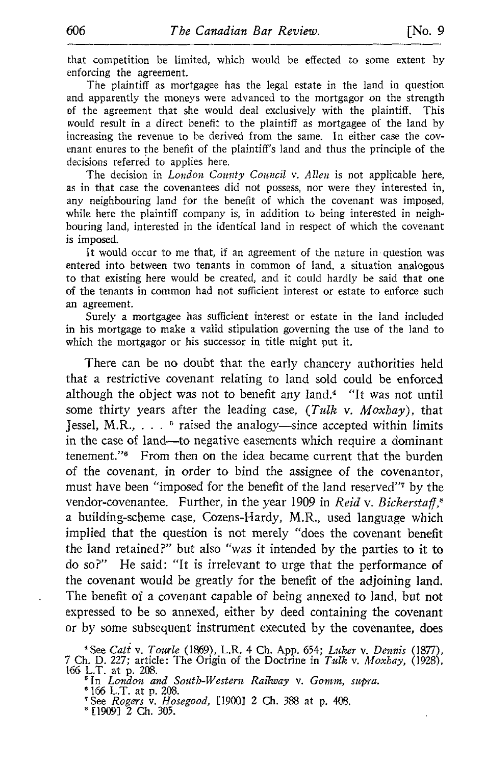that competition be limited, which would be effected to some extent by enforcing the agreement.

The plaintiff as mortgagee has the legal estate in the land in question and apparently the moneys were advanced to the mortgagor on the strength of the agreement that she would deal exclusively with the plaintiff. This would result in a direct benefit to the plaintiff as mortgagee of the land by increasing the revenue to be derived from the same. In either case the covenant enures to the benefit of the plaintiff's land and thus the principle of the decisions referred to applies here.

The decision in *London County Council v. Allen* is not applicable here, as in that case the covenantees did not possess, nor were they interested in, any neighbouring land for the benefit of which the covenant was imposed, while here the plaintiff company is, in addition to being interested in neighbouring land, interested in the identical land in respect of which the covenant is imposed.

It would occur to me that, if an agreement of the nature in question was entered into between two tenants in common of land, a situation analogous to that existing here would be created, and it could hardly be said that one of the tenants in common had not sufficient interest or estate to enforce such an agreement.

Surely a mortgagee has sufficient interest or estate in the land included in his mortgage to make a valid stipulation governing the use of the land to which the mortgagor or his successor in title might put it.

There can be no doubt that the early chancery authorities held that a restrictive covenant relating to land sold could be enforced although the object was not to benefit any land.4 "It was not until some thirty years after the leading case,  $(Tulk \text{ v. } Moxbay)$ , that Jessel, M.R., . . . <sup>5</sup> raised the analogy—since accepted within limits in the case of land-to negative easements which require a dominant tenement."<sup>6</sup> From then on the idea became current that the burden of the covenant, in order to bind the assignee of the covenantor, must have been "imposed for the benefit of the land reserved"7 by the vendor-covenantee. Further, in the year 1909 in Reid v. Bickerstaff, $s$ <sup>a</sup> building-scheme case, Cozens-Hardy, M.R., used language which implied that the question is not merely "does the covenant benefit the land retained?" but also "was it intended by the parties to it to do so?" He said: "It is irrelevant to urge that the performance of the covenant would be greatly for the benefit of the adjoining land. The benefit of a covenant capable of being annexed to land, but not expressed to be so annexed, either by deed containing the covenant or by some subsequent instrument executed by the covenantee, does

 $^{6}$  166 L.T. at p. 208.<br><sup>7 See</sup> Begges u. Hec

[19091 <sup>2</sup> Ch. 305 .

<sup>&</sup>lt;sup>4</sup> See *Catt v. Tourle* (1869), L.R. 4 Ch. App. 654; Luker v. Dennis (1877),<br>7 Ch. D. 227; article: The Origin of the Doctrine in *Tulk v. Moxhay*, (1928),

<sup>166</sup> L.T. at p. 208. 'In London and South-Western Railway v. Gomm, supra.

<sup>&</sup>lt;sup>7</sup> See *Rogers* v. *Hosegood,* [1900] 2 Ch. 388 at p. 408.<br>8 F19901 3 Cl. 305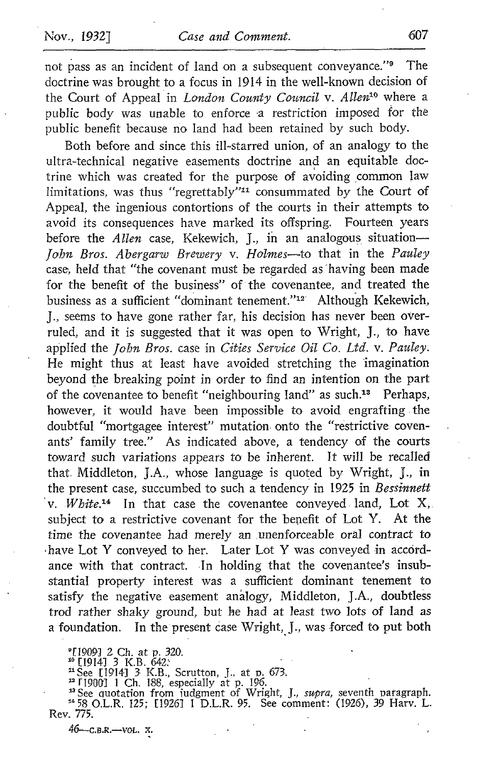Nov., 1932] Case and Comment. 607<br>
not pass as an incident of land on a subsequent conveyance." The<br>
doctrine was brought to a focus in 1914 in the well-known decision of<br>
the Court of Appeal in *London County Council* v. doctrine was brought to a focus in 1914 in the well-known decision of the Court of Appeal in London County Council v. Allen<sup>10</sup> where a public body was unable to enforce a restriction imposed for the public benefit because no land had been retained by such body.

Both before and since this ill-starred union, of an analogy to the ultra-technical negative easements doctrine and an equitable doctrine which was created for the purpose of avoiding common law limitations, was thus "regrettably"<sup>11</sup> consummated by the Court of Appeal, the ingenious contortions of the courts in their attempts to avoid its consequences have marked its offspring. Fourteen years before the *Allen* case, Kekewich, J., in an analogous situation-John Bros. Abergarw Brewery v. Holmes-to that in the Pauley case, held that "the covenant must be regarded as "having been made for the benefit of the business" of the covenantee, and treated the business as a sufficient "dominant tenement."<sup>12</sup> Although Kekewich, J., seems to have gone rather far, his decision has never been overruled, and it is suggested that it was open to Wright, J., to have applied the John Bros. case in Cities Service Oil Co. Ltd. v. Pauley. He might thus at least have avoided stretching the imagination beyond the breaking point in order to find an intention on the part of the covenantee to benefit "neighbouring land" as such.<sup>13</sup> Perhaps, however, it would have been impossible to avoid engrafting the doubtful "mortgagee interest" mutation, onto the "restrictive covenants' family tree." As indicated above, a tendency of the courts toward such variations appears to be inherent. It will be recalled that Middleton, J.A., whose language is quoted by Wright, J., in the present case, succumbed to such a tendency in 1925 in Bessinnett v. *White*<sup>14</sup> In that case the covenantee conveyed land, Lot X, subject to a restrictive covenant for the benefit of Lot Y. At the time the covenantee had merely an unenforceable oral contract to have Lot Y conveyed to her. Later Lot Y was conveyed in accordance with that contract. In holding that the covenantee's insubstantial property interest was a sufficient dominant tenement to satisfy the negative easement analogy, Middleton, J.A., doubtless trod rather shaky ground, but he had at least two lots of land as a foundation. In the present case Wright, J., was forced to put both

°[1909] 2 Ch. at p. 320.<br><del>"</del> [1914] 3 K.B. 642.<br>"See [1914] 3 K.B. Sc

n See [1914] 3 K.B., Scrutton, J., at p. 673.<br><sup>29</sup> F19001 1 Ch. 188, especially at p. 196.<br><sup>29</sup> See quotation from judgment of Wright, J., *supra*, seventh paragraph.<br><sup>24</sup> 58 O.L.R. 125; [1926] 1 D.L.R. 95. See comment: (1 Rev. 775.

 $46 - C.B.R. - Vol. x.$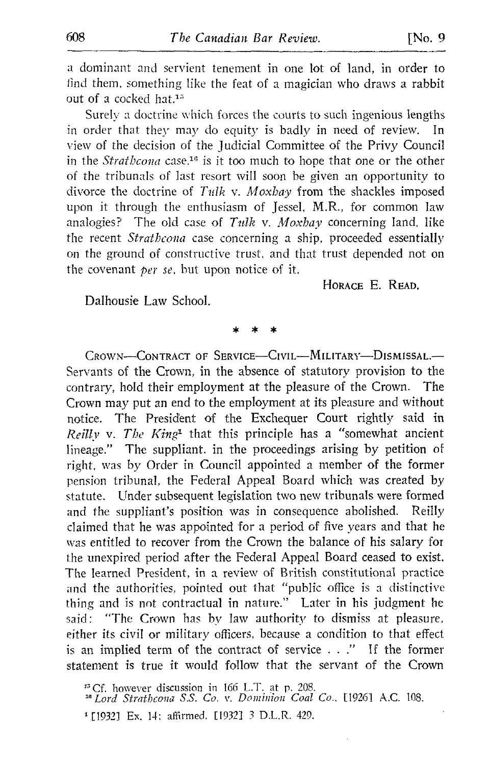<sup>a</sup> dominant and servient tenement in one lot of land, in order to find them, something like the feat of a magician who draws a rabbit out of a cocked hat.<sup>15</sup>

Surely a doctrine which forces the courts to such ingenious lengths in order that they may do equity is badly in need of review. In view of the decision of the judicial Committee of the Privy Council in the Strathcona case,<sup>16</sup> is it too much to hope that one or the other of the tribunals of last resort will soon be given an opportunity to divorce the doctrine of  $Tulk$  v. Moxbay from the shackles imposed upon it through the enthusiasm of Jessel, M.R., for common law analogies? The old case of  $Tulk$  v. Moxbay concerning land, like the recent Strathcona case concerning a ship, proceeded essentially on the ground of constructive trust, and that trust depended not on the covenant  $per$  se, but upon notice of it.

HORAGE E. READ.

Dalhousie Law School.

CROWN-CONTRACT OF SERVICE-CIVIL-MILITARY-DISMISSAL.-Servants of the Crown, in the absence of statutory provision to the contrary, hold their employment at the pleasure of the Crown. The Crown may put an end to the employment at its pleasure- and without notice . The President of the Exchequer Court rightly said in Reilly v. The King<sup>1</sup> that this principle has a "somewhat ancient lineage." The suppliant, in the proceedings arising by petition of right, was by Order in Council appointed <sup>a</sup> member of the former pension tribunal, the Federal Appeal Board which was created by statute. Under subsequent legislation two new tribunals were formed and the suppliant's position was in consequence abolished. Reilly claimed that he was appointed for a period of five years and that he was entitled to recover from the Crown the balance of his salary for the unexpired period after the Federal Appeal Board ceased to exist. The learned President, in a review of British constitutional practice and the authorities, pointed out that "public office is a distinctive thing and is not contractual in nature." Later in his judgment he said: "The Crown has by law authority to dismiss at pleasure. either its civil or military officers, because a condition to that effect is an implied term of the contract of service  $\ldots$ ." If the former statement is true it would follow that the servant of the Crown

<sup>13</sup> Cf. however discussion in 166 L.T. at p. 208.<br><sup>24</sup> Lord *Strathcona S.S. Co. v. Dominion Coal Co.*, [1926] A.C. 108.

<sup>1</sup> [1932] Ex. 14; affirmed. [1932] 3 D.L.R. 429.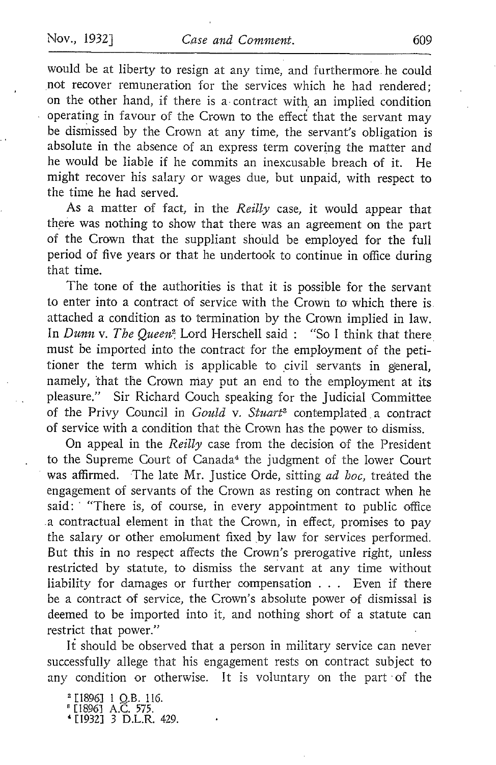would be at liberty to resign at any time, and furthermore . he could not recover remuneration for the services which he had rendered; on the other hand, if there is a- contract with an implied condition operating in favour of the Crown to the effeci that the servant may be dismissed by the Crown at any time, the servant's obligation is absolute in the absence of an express term covering the matter and he would be liable if he commits an inexcusable breach of it . He might recover his salary or wages due, but unpaid, with respect to the time he had served.

As a matter of fact, in the Reilly case, it would appear that there was nothing to show that there was an agreement on the part of the Crown that the suppliant should be employed for the full period of five years or that he undertook to continue in office during that time.

The tone of the authorities is that it is possible for the servant to enter into a contract of service with the Crown to which there is attached a condition as to termination by the Crown implied in law. In Dunn v. The Queen<sup>2</sup> Lord Herschell said : "So I think that there must be imported into the contract for the employment of the petitioner the term which is applicable to civil servants in general, namely, that the Crown may put an end to the employment at its pleasure ." Sir Richard Couch speaking for the judicial Committee of the Privy Council in Gould v. Stuart<sup>3</sup> contemplated a contract of service with a condition that the Crown has the power to dismiss.

On appeal in the Reilly case from the decision of the President to the Supreme Court of Canada<sup>4</sup> the judgment of the lower Court was affirmed. The late Mr. Justice Orde, sitting ad hoc, treated the engagement of servants of the Crown as resting on contract when he said: "There is, of course, in every appointment to public office a contractual element in that the Crown, in effect, promises to pay the salary or other emolument fixed by law for services performed. But this in no respect affects the Crown's prerogative right, unless restricted by statute, to dismiss the servant at any time without liability for damages or further compensation . . . Even if there be a contract of service, the Crown's absolute power of dismissal is deemed to be imported into it, and nothing short of a statute can restrict that power."

It should be observed that a person in military service can never successfully allege that his engagement rests on contract subject to any condition or otherwise. It is voluntary on the part of the

 $\begin{bmatrix} 1896 \end{bmatrix}$  A.C. 575. <sup>119321</sup> <sup>3</sup> D.L .R. 429.

 $^{2}$  [1896] 1 Q.B. 116.